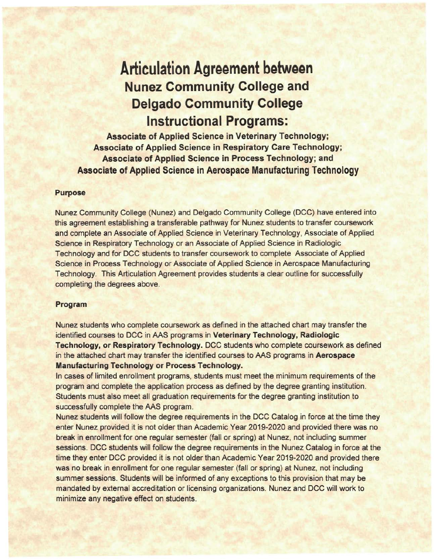# **Articulation Agreement between Nunez Community College and Delgado Community College Instructional Programs:**

**Associate of Applied Science in Veterinary Technology; Associate of Applied Science in Respiratory Care Technology; Associate of Applied Science in Process Technology; and Associate of Applied Science in Aerospace Manufacturing Technology** 

### **Purpose**

Nunez Community College (Nunez) and Delgado Community College (DCC) have entered into this agreement establishing a transferable pathway for Nunez students to transfer coursework and complete an Associate of Applied Science in Veterinary Technology, Associate of Applied Science in Respiratory Technology or an Associate of Applied Science in Radiologic Technology and for DCC students to transfer coursework to complete Associate of Applied Science in Process Technology or Associate of Applied Science in Aerospace Manufacturing Technology. This Articulation Agreement provides students a clear outline for successfully completing the degrees above.

#### **Program**

Nunez students who complete coursework as defined in the attached chart may transfer the identified courses to DCC in AAS programs in **Veterinary Technology, Radiologic Technology, or Respiratory Technology. DCC students who complete coursework as defined** in the attached chart may transfer the identified courses to AAS programs in **Aerospace Manufacturing Technology or Process Technology.** 

In cases of limited enrollment programs, students must meet the minimum requirements of the program and complete the application process as defined by the degree granting institution. Students must also meet all graduation requirements for the degree granting institution to successfully complete the AAS program.

Nunez students will follow the degree requirements in the DCC Catalog in force at the time they enter Nunez provided it is not older than Academic Year 2019-2020 and provided there was no break in enrollment for one regular semester (fall or spring) at Nunez, not including summer sessions. DCC students will follow the degree requirements in the Nunez Catalog in force at the time they enter DCC provided it is not older than Academic Year 2019-2020 and provided there was no break in enrollment for one regular semester (fall or spring) at Nunez, not including summer sessions. Students will be informed of any exceptions to this provision that may be mandated by external accreditation or licensing organizations. Nunez and DCC will work to minimize any negative effect on students.